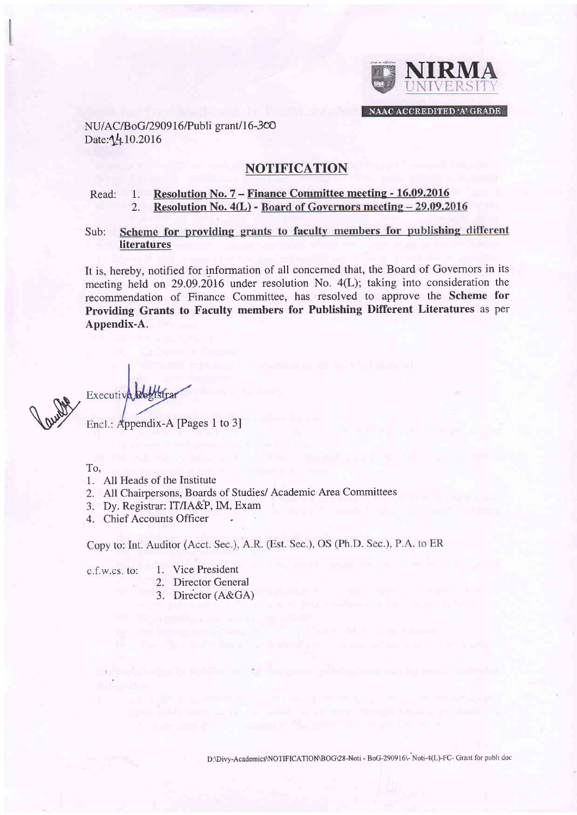

NU/AC/BoG/290916/Publi grant/16-300 Date: 14.10.2016

# NOTIFICATION

## Read: 1. Resolution No. 7 – Finance Committee meeting - 16.09.2016<br>2. Resolution No. 4(L) - Board of Governors meeting – 29.09.20 Resolution No. 4(L) - Board of Governors meeting - 29.09.2016

Scheme for providing grants to faculty members for publishing different Sub: literatures

It is, hereby, notified for information of all concerned that, the Board of Governors in its meeting held on 29.09.2016 under resolution No. 4(L); taking into consideration the recommendation of Finance Committee, has resolved to approve the Scheme for Providing Grants to Faculty members for Publishing Different Literatures as per Appendix-A.

Rund Encl.: Appendix-A [Pages 1 to 3]

To,

- 1. All Heads of the Institute
- 2. All Chairpersons, Boards of Studies/ Academic Area Committees
- 3. Dy. Registrar: IT/IA&P,IM, Exam
- 4. Chief Accounts Officer

Copy to: Int. Auditor (Acct. Sec.), A.R. (Est. Sec.), OS (Ph.D. Sec.), P.A. to ER

c.f.w.cs. to:

- 1. Vice President
- 2. Director Genera
- 3. Director (A&GA)

D:\Divy-Academics\NOTIFICATION\BOG\28-Noti - BoG-290916\- Noti-4(L)-FC- Grant for publi doc

**Information of the State**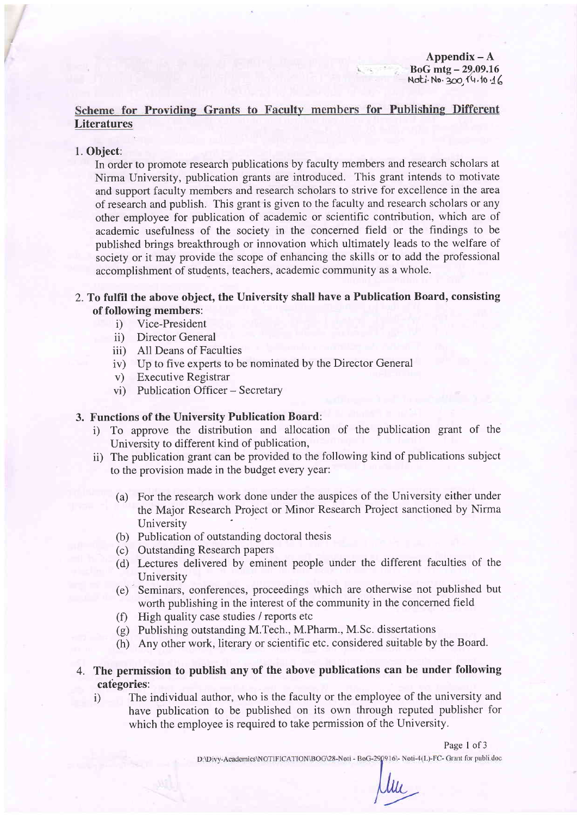# Scheme for Providing Grants to Faculty members for Publishing Different **Literatures**

#### 1. Object:

In order to promote research publications by faculty members and research scholars at Nirma University, publication grants are introduced. This grant intends to motivate and support faculty members and research scholars to strive for excellence in the area ofresearch and publish. This grant is given to the faculty and research scholars or any other employee for publication of academic or scientific contribution, which are of academic usefulness of the society in the concerned field or the findings to be published brings breakthrough or innovation which ultimately leads to the welfare of society or it may provide the scope of enhancing the skills or to add the professional accomplishment of students, teachers, academic community as a whole.

## 2.To fulfil the above object, the University shall have a Publication Board, consisting of following members:

- i) Vice-President
- ii) Director General
- iii) All Deans of Faculties
- iv) Up to five experts to be nominated by the Director General
- v) Executive Registrar
- vi) Publication Officer Secretary

#### 3. Functions of the University Publication Board:

- i) To approve the distribution and allocation of the publication grant of the University to different kind of publication,
- ii) The publication grant can be provided to the following kind of publications subject to the provision made in the budget every year:
	- (a) For the research work done under the auspices of the University either under the Major Research Project or Minor Research Project sanctioned by Nirma University
	- (b) Publication of outstanding doctoral thesis
	- (c) Outstanding Research papers
	- (d) Lectures delivered by eminent people under the different faculties of the University
	- (e) Seminars, conferences, proceedings which are otherwise not published but worth publishing in the interest of the community in the concerned field
	- $(f)$  High quality case studies / reports etc
	- (g) Publishing outstanding M.Tech., M.Pharm., M.Sc. dissertations
	- (h) Any other work, literary or scientific etc. considered suitable by the Board.

## 4. The permission to publish any of the above publications can be under following categories:

i) The individual author, who is the faculty or the employee of the university and have publication to be published on its own through reputed publisher for which the employee is required to take permission of the University.

D:\Divy-Academics\NOTIFICATION\BOG\28-Noti - BoG-290916\- Noti-4(L)-FC- Grant for publi.doc

Um

Page 1 of 3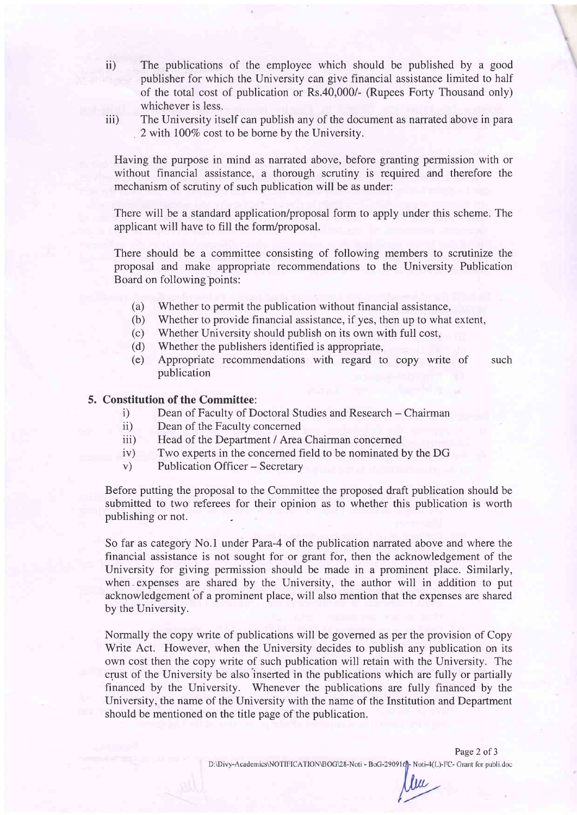- The publications of the employee which should be published by a good publisher for which the University can give financial assistance limited to half of the total cost of publication or Rs.40,000/- (Rupees Forty Thousand only) whichever is less. ii)
- The University itself can publish any of the document as narrated above in para 2 with  $100\%$  cost to be borne by the University. iii)

Having the purpose in mind as narrated above, before granting permission with or without financial assistance, a thorough scrutiny is required and therefore the mechanism of scrutiny of such publication will be as under:

There will be a standard application/proposal form to apply under this scheme. The applicant will have to fill the form/proposal.

There should be a committee consisting of following members to scrutinize the proposal and make appropriate recommendations to the University Publication Board on following'points:

- (a) Whether to permit the publication without financial assistance,
- (b) Whether to provide financial assistance, if yes, then up to what extent,
- (c) Whether University should publish on its own with full cost,
- (d) Whether the publishers identified is appropriate,
- (e) Appropriate recommendations with regard to copy write of such publication

## 5. Constitution of the Committee:

- i) Dean of Faculty of Doctoral Studies and Research Chairman<br>ii) Dean of the Faculty concerned
- Dean of the Faculty concerned
- iii) Head of the Department / Area Chairman concerned
- iv) Two experts in the concerned field to be nominated by the DG
- v) Publication Officer Secretary

Before putting the proposal to the Committee the proposed draft publication should be submitted to two referees for their opinion as to whether this publication is worth publishing or not.

So far as category No.1 under Para-4 of the publication narrated above and where the financial assistance is not sought for or grant for, then the acknowledgement of the University for giving permission should be made in a prominent place. Similarly, when-expenses are shared by the University, the author will in addition to put acknowledgement of a prominent place, will also mention that the expenses are shared by the University.

Normally the copy write of publications will be governed as per the provision of Copy Write Act. However, when the University decides to publish any publication on its own cost then the copy write of such publication will retain with the University. The crust of the University be also inserted in the publications which are fully or partially financed by the University. Whenever the publications are fully financed by the University, the name of the University with the name of the Institution and Department should be mentioned on the title page of the publication.

D:\Divy-Academics\NOTIFICATION\BOG\28-Noti - BoG-29091q-Noti-4(L)-FC- Grant for publi.doc

Page 2 of 3